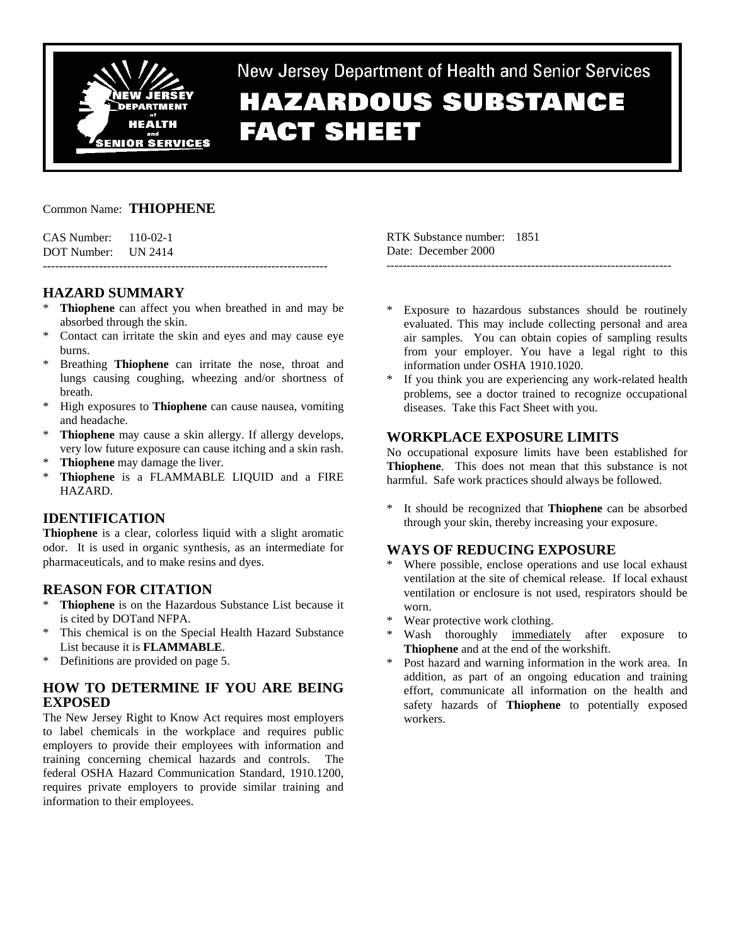

New Jersey Department of Health and Senior Services

# **HAZARDOUS SUBSTANCE FACT SHEET**

### Common Name: **THIOPHENE**

CAS Number: 110-02-1 DOT Number: UN 2414

## **HAZARD SUMMARY**

\* **Thiophene** can affect you when breathed in and may be absorbed through the skin.

-----------------------------------------------------------------------

- \* Contact can irritate the skin and eyes and may cause eye burns.
- \* Breathing **Thiophene** can irritate the nose, throat and lungs causing coughing, wheezing and/or shortness of breath.
- \* High exposures to **Thiophene** can cause nausea, vomiting and headache.
- **Thiophene** may cause a skin allergy. If allergy develops, very low future exposure can cause itching and a skin rash.
- \* **Thiophene** may damage the liver.
- \* **Thiophene** is a FLAMMABLE LIQUID and a FIRE HAZARD.

## **IDENTIFICATION**

**Thiophene** is a clear, colorless liquid with a slight aromatic odor. It is used in organic synthesis, as an intermediate for pharmaceuticals, and to make resins and dyes.

## **REASON FOR CITATION**

- \* **Thiophene** is on the Hazardous Substance List because it is cited by DOTand NFPA.
- \* This chemical is on the Special Health Hazard Substance List because it is **FLAMMABLE**.
- \* Definitions are provided on page 5.

## **HOW TO DETERMINE IF YOU ARE BEING EXPOSED**

The New Jersey Right to Know Act requires most employers to label chemicals in the workplace and requires public employers to provide their employees with information and training concerning chemical hazards and controls. The federal OSHA Hazard Communication Standard, 1910.1200, requires private employers to provide similar training and information to their employees.

RTK Substance number: 1851 Date: December 2000 -----------------------------------------------------------------------

- Exposure to hazardous substances should be routinely evaluated. This may include collecting personal and area air samples. You can obtain copies of sampling results from your employer. You have a legal right to this information under OSHA 1910.1020.
- If you think you are experiencing any work-related health problems, see a doctor trained to recognize occupational diseases. Take this Fact Sheet with you.

## **WORKPLACE EXPOSURE LIMITS**

No occupational exposure limits have been established for **Thiophene**. This does not mean that this substance is not harmful. Safe work practices should always be followed.

\* It should be recognized that **Thiophene** can be absorbed through your skin, thereby increasing your exposure.

## **WAYS OF REDUCING EXPOSURE**

- Where possible, enclose operations and use local exhaust ventilation at the site of chemical release. If local exhaust ventilation or enclosure is not used, respirators should be worn.
- Wear protective work clothing.
- Wash thoroughly immediately after exposure to **Thiophene** and at the end of the workshift.
- \* Post hazard and warning information in the work area. In addition, as part of an ongoing education and training effort, communicate all information on the health and safety hazards of **Thiophene** to potentially exposed workers.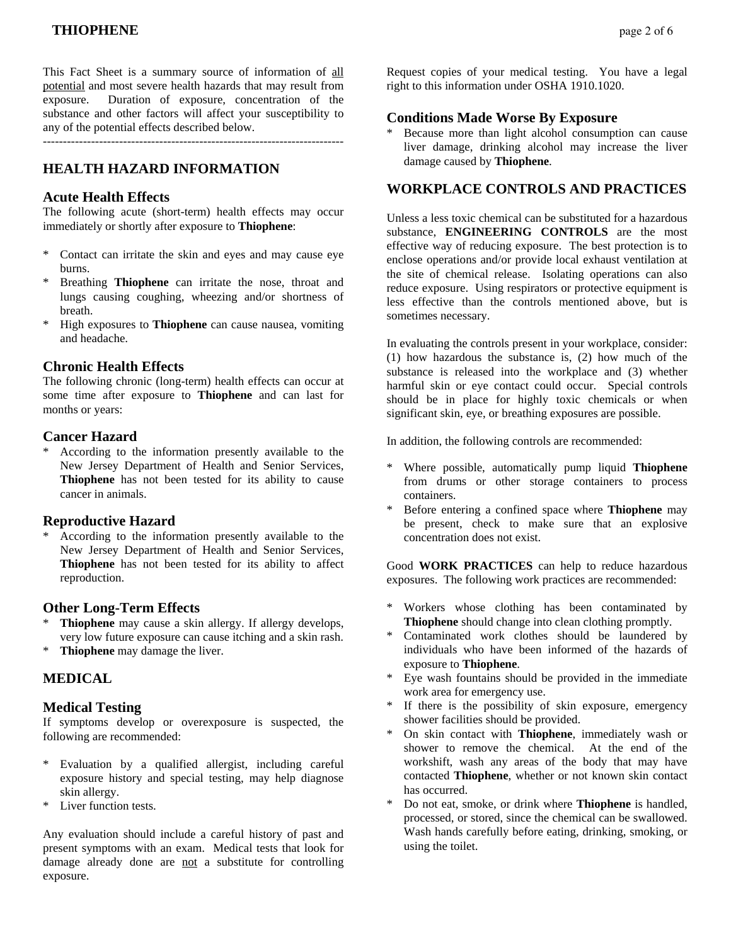This Fact Sheet is a summary source of information of all potential and most severe health hazards that may result from exposure. Duration of exposure, concentration of the substance and other factors will affect your susceptibility to any of the potential effects described below.

---------------------------------------------------------------------------

## **HEALTH HAZARD INFORMATION**

### **Acute Health Effects**

The following acute (short-term) health effects may occur immediately or shortly after exposure to **Thiophene**:

- \* Contact can irritate the skin and eyes and may cause eye burns.
- Breathing **Thiophene** can irritate the nose, throat and lungs causing coughing, wheezing and/or shortness of breath.
- \* High exposures to **Thiophene** can cause nausea, vomiting and headache.

### **Chronic Health Effects**

The following chronic (long-term) health effects can occur at some time after exposure to **Thiophene** and can last for months or years:

### **Cancer Hazard**

According to the information presently available to the New Jersey Department of Health and Senior Services, **Thiophene** has not been tested for its ability to cause cancer in animals.

## **Reproductive Hazard**

According to the information presently available to the New Jersey Department of Health and Senior Services, **Thiophene** has not been tested for its ability to affect reproduction.

## **Other Long-Term Effects**

- **Thiophene** may cause a skin allergy. If allergy develops, very low future exposure can cause itching and a skin rash.
- \* **Thiophene** may damage the liver.

## **MEDICAL**

### **Medical Testing**

If symptoms develop or overexposure is suspected, the following are recommended:

- \* Evaluation by a qualified allergist, including careful exposure history and special testing, may help diagnose skin allergy.
- \* Liver function tests.

Any evaluation should include a careful history of past and present symptoms with an exam. Medical tests that look for damage already done are not a substitute for controlling exposure.

Request copies of your medical testing. You have a legal right to this information under OSHA 1910.1020.

### **Conditions Made Worse By Exposure**

Because more than light alcohol consumption can cause liver damage, drinking alcohol may increase the liver damage caused by **Thiophene**.

## **WORKPLACE CONTROLS AND PRACTICES**

Unless a less toxic chemical can be substituted for a hazardous substance, **ENGINEERING CONTROLS** are the most effective way of reducing exposure. The best protection is to enclose operations and/or provide local exhaust ventilation at the site of chemical release. Isolating operations can also reduce exposure. Using respirators or protective equipment is less effective than the controls mentioned above, but is sometimes necessary.

In evaluating the controls present in your workplace, consider: (1) how hazardous the substance is, (2) how much of the substance is released into the workplace and (3) whether harmful skin or eye contact could occur. Special controls should be in place for highly toxic chemicals or when significant skin, eye, or breathing exposures are possible.

In addition, the following controls are recommended:

- Where possible, automatically pump liquid Thiophene from drums or other storage containers to process containers.
- \* Before entering a confined space where **Thiophene** may be present, check to make sure that an explosive concentration does not exist.

Good **WORK PRACTICES** can help to reduce hazardous exposures. The following work practices are recommended:

- Workers whose clothing has been contaminated by **Thiophene** should change into clean clothing promptly.
- Contaminated work clothes should be laundered by individuals who have been informed of the hazards of exposure to **Thiophene**.
- Eye wash fountains should be provided in the immediate work area for emergency use.
- If there is the possibility of skin exposure, emergency shower facilities should be provided.
- \* On skin contact with **Thiophene**, immediately wash or shower to remove the chemical. At the end of the workshift, wash any areas of the body that may have contacted **Thiophene**, whether or not known skin contact has occurred.
- \* Do not eat, smoke, or drink where **Thiophene** is handled, processed, or stored, since the chemical can be swallowed. Wash hands carefully before eating, drinking, smoking, or using the toilet.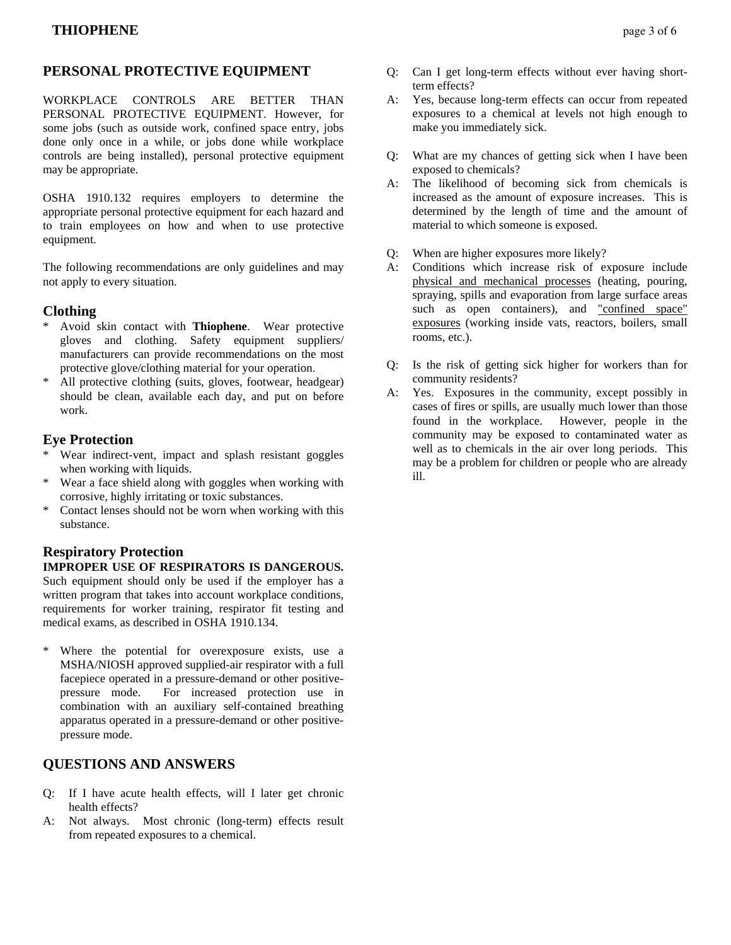## **PERSONAL PROTECTIVE EQUIPMENT**

WORKPLACE CONTROLS ARE BETTER THAN PERSONAL PROTECTIVE EQUIPMENT. However, for some jobs (such as outside work, confined space entry, jobs done only once in a while, or jobs done while workplace controls are being installed), personal protective equipment may be appropriate.

OSHA 1910.132 requires employers to determine the appropriate personal protective equipment for each hazard and to train employees on how and when to use protective equipment.

The following recommendations are only guidelines and may not apply to every situation.

## **Clothing**

- Avoid skin contact with **Thiophene**. Wear protective gloves and clothing. Safety equipment suppliers/ manufacturers can provide recommendations on the most protective glove/clothing material for your operation.
- \* All protective clothing (suits, gloves, footwear, headgear) should be clean, available each day, and put on before work.

## **Eye Protection**

- Wear indirect-vent, impact and splash resistant goggles when working with liquids.
- \* Wear a face shield along with goggles when working with corrosive, highly irritating or toxic substances.
- \* Contact lenses should not be worn when working with this substance.

## **Respiratory Protection**

### **IMPROPER USE OF RESPIRATORS IS DANGEROUS.** Such equipment should only be used if the employer has a written program that takes into account workplace conditions, requirements for worker training, respirator fit testing and medical exams, as described in OSHA 1910.134.

\* Where the potential for overexposure exists, use a MSHA/NIOSH approved supplied-air respirator with a full facepiece operated in a pressure-demand or other positivepressure mode. For increased protection use in combination with an auxiliary self-contained breathing apparatus operated in a pressure-demand or other positivepressure mode.

## **QUESTIONS AND ANSWERS**

- Q: If I have acute health effects, will I later get chronic health effects?
- A: Not always. Most chronic (long-term) effects result from repeated exposures to a chemical.
- Q: Can I get long-term effects without ever having shortterm effects?
- A: Yes, because long-term effects can occur from repeated exposures to a chemical at levels not high enough to make you immediately sick.
- Q: What are my chances of getting sick when I have been exposed to chemicals?
- A: The likelihood of becoming sick from chemicals is increased as the amount of exposure increases. This is determined by the length of time and the amount of material to which someone is exposed.
- Q: When are higher exposures more likely?
- A: Conditions which increase risk of exposure include physical and mechanical processes (heating, pouring, spraying, spills and evaporation from large surface areas such as open containers), and "confined space" exposures (working inside vats, reactors, boilers, small rooms, etc.).
- Q: Is the risk of getting sick higher for workers than for community residents?
- A: Yes. Exposures in the community, except possibly in cases of fires or spills, are usually much lower than those found in the workplace. However, people in the community may be exposed to contaminated water as well as to chemicals in the air over long periods. This may be a problem for children or people who are already ill.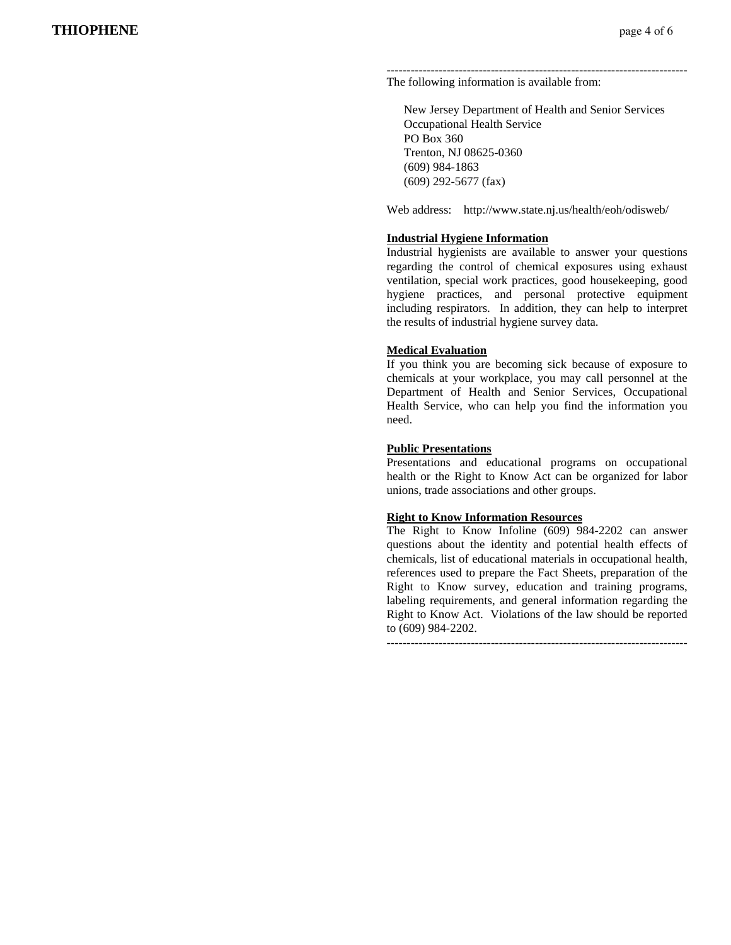#### --------------------------------------------------------------------------- The following information is available from:

 New Jersey Department of Health and Senior Services Occupational Health Service PO Box 360 Trenton, NJ 08625-0360 (609) 984-1863 (609) 292-5677 (fax)

Web address: http://www.state.nj.us/health/eoh/odisweb/

### **Industrial Hygiene Information**

Industrial hygienists are available to answer your questions regarding the control of chemical exposures using exhaust ventilation, special work practices, good housekeeping, good hygiene practices, and personal protective equipment including respirators. In addition, they can help to interpret the results of industrial hygiene survey data.

### **Medical Evaluation**

If you think you are becoming sick because of exposure to chemicals at your workplace, you may call personnel at the Department of Health and Senior Services, Occupational Health Service, who can help you find the information you need.

### **Public Presentations**

Presentations and educational programs on occupational health or the Right to Know Act can be organized for labor unions, trade associations and other groups.

### **Right to Know Information Resources**

The Right to Know Infoline (609) 984-2202 can answer questions about the identity and potential health effects of chemicals, list of educational materials in occupational health, references used to prepare the Fact Sheets, preparation of the Right to Know survey, education and training programs, labeling requirements, and general information regarding the Right to Know Act. Violations of the law should be reported to (609) 984-2202.

---------------------------------------------------------------------------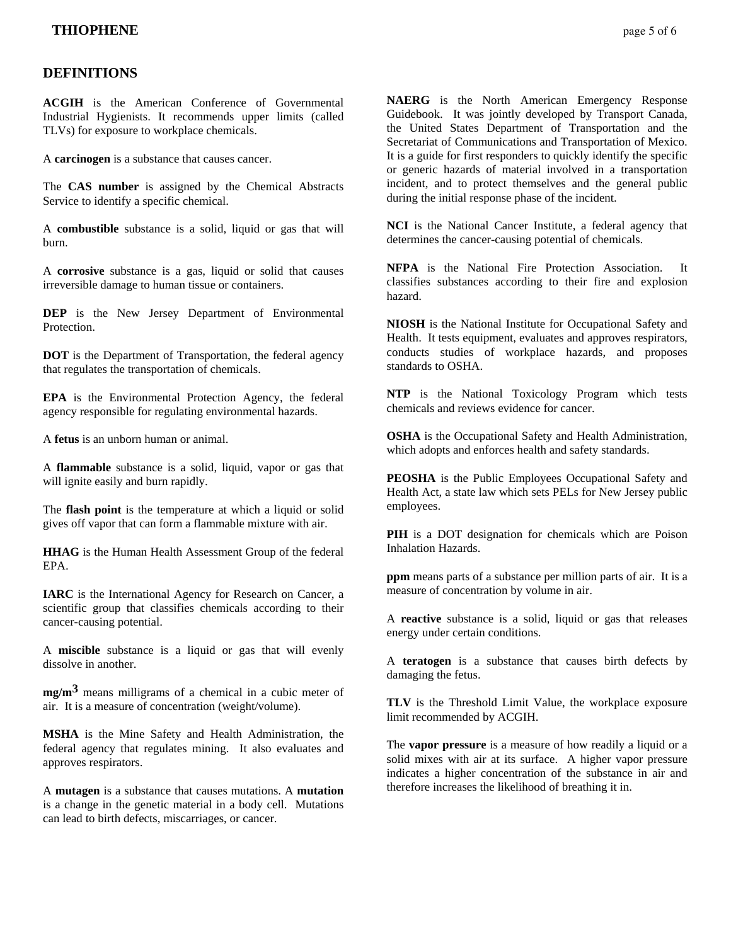## **DEFINITIONS**

**ACGIH** is the American Conference of Governmental Industrial Hygienists. It recommends upper limits (called TLVs) for exposure to workplace chemicals.

A **carcinogen** is a substance that causes cancer.

The **CAS number** is assigned by the Chemical Abstracts Service to identify a specific chemical.

A **combustible** substance is a solid, liquid or gas that will burn.

A **corrosive** substance is a gas, liquid or solid that causes irreversible damage to human tissue or containers.

**DEP** is the New Jersey Department of Environmental Protection.

**DOT** is the Department of Transportation, the federal agency that regulates the transportation of chemicals.

**EPA** is the Environmental Protection Agency, the federal agency responsible for regulating environmental hazards.

A **fetus** is an unborn human or animal.

A **flammable** substance is a solid, liquid, vapor or gas that will ignite easily and burn rapidly.

The **flash point** is the temperature at which a liquid or solid gives off vapor that can form a flammable mixture with air.

**HHAG** is the Human Health Assessment Group of the federal EPA.

**IARC** is the International Agency for Research on Cancer, a scientific group that classifies chemicals according to their cancer-causing potential.

A **miscible** substance is a liquid or gas that will evenly dissolve in another.

**mg/m3** means milligrams of a chemical in a cubic meter of air. It is a measure of concentration (weight/volume).

**MSHA** is the Mine Safety and Health Administration, the federal agency that regulates mining. It also evaluates and approves respirators.

A **mutagen** is a substance that causes mutations. A **mutation** is a change in the genetic material in a body cell. Mutations can lead to birth defects, miscarriages, or cancer.

**NAERG** is the North American Emergency Response Guidebook. It was jointly developed by Transport Canada, the United States Department of Transportation and the Secretariat of Communications and Transportation of Mexico. It is a guide for first responders to quickly identify the specific or generic hazards of material involved in a transportation incident, and to protect themselves and the general public during the initial response phase of the incident.

**NCI** is the National Cancer Institute, a federal agency that determines the cancer-causing potential of chemicals.

**NFPA** is the National Fire Protection Association. It classifies substances according to their fire and explosion hazard.

**NIOSH** is the National Institute for Occupational Safety and Health. It tests equipment, evaluates and approves respirators, conducts studies of workplace hazards, and proposes standards to OSHA.

**NTP** is the National Toxicology Program which tests chemicals and reviews evidence for cancer.

**OSHA** is the Occupational Safety and Health Administration, which adopts and enforces health and safety standards.

**PEOSHA** is the Public Employees Occupational Safety and Health Act, a state law which sets PELs for New Jersey public employees.

**PIH** is a DOT designation for chemicals which are Poison Inhalation Hazards.

**ppm** means parts of a substance per million parts of air. It is a measure of concentration by volume in air.

A **reactive** substance is a solid, liquid or gas that releases energy under certain conditions.

A **teratogen** is a substance that causes birth defects by damaging the fetus.

**TLV** is the Threshold Limit Value, the workplace exposure limit recommended by ACGIH.

The **vapor pressure** is a measure of how readily a liquid or a solid mixes with air at its surface. A higher vapor pressure indicates a higher concentration of the substance in air and therefore increases the likelihood of breathing it in.